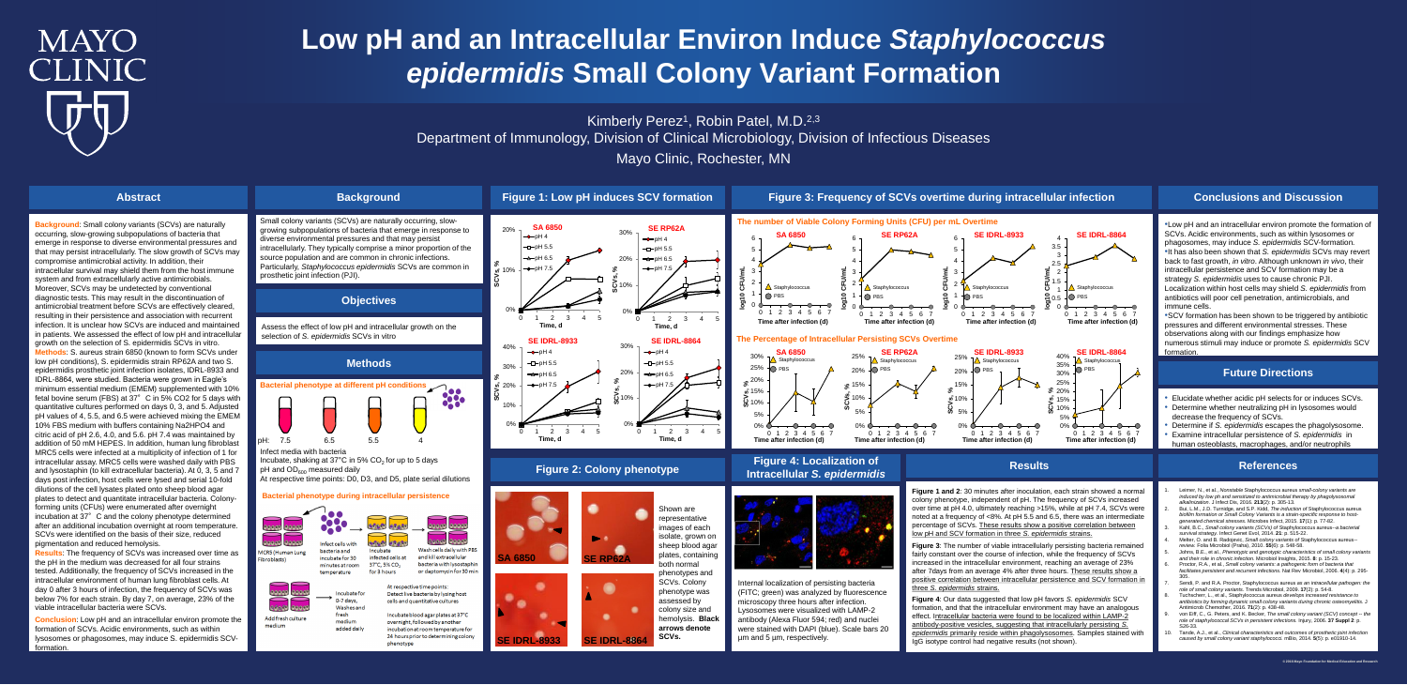# **MAYO** CLINIC

# **Low pH and an Intracellular Environ Induce** *Staphylococcus epidermidis* **Small Colony Variant Formation**

# **References**

# **Abstract**

Kimberly Perez<sup>1</sup>, Robin Patel, M.D.<sup>2,3</sup> Department of Immunology, Division of Clinical Microbiology, Division of Infectious Diseases Mayo Clinic, Rochester, MN

**Background**: Small colony variants (SCVs) are naturally occurring, slow-growing subpopulations of bacteria that emerge in response to diverse environmental pressures and that may persist intracellularly. The slow growth of SCVs may compromise antimicrobial activity. In addition, their intracellular survival may shield them from the host immune system and from extracellularly active antimicrobials. Moreover, SCVs may be undetected by conventional diagnostic tests. This may result in the discontinuation of antimicrobial treatment before SCVs are effectively cleared, resulting in their persistence and association with recurrent infection. It is unclear how SCVs are induced and maintained in patients. We assessed the effect of low pH and intracellular growth on the selection of S. epidermidis SCVs in vitro. **Methods**: S. aureus strain 6850 (known to form SCVs under low pH conditions), S. epidermidis strain RP62A and two S. epidermidis prosthetic joint infection isolates, IDRL-8933 and IDRL-8864, were studied. Bacteria were grown in Eagle's minimum essential medium (EMEM) supplemented with 10% fetal bovine serum (FBS) at 37°C in 5% CO2 for 5 days with quantitative cultures performed on days 0, 3, and 5. Adjusted pH values of 4, 5.5, and 6.5 were achieved mixing the EMEM 10% FBS medium with buffers containing Na2HPO4 and citric acid of pH 2.6, 4.0, and 5.6. pH 7.4 was maintained by addition of 50 mM HEPES. In addition, human lung fibroblast MRC5 cells were infected at a multiplicity of infection of 1 for intracellular assay. MRC5 cells were washed daily with PBS and lysostaphin (to kill extracellular bacteria). At 0, 3, 5 and 7 days post infection, host cells were lysed and serial 10-fold dilutions of the cell lysates plated onto sheep blood agar plates to detect and quantitate intracellular bacteria. Colonyforming units (CFUs) were enumerated after overnight incubation at 37°C and the colony phenotype determined after an additional incubation overnight at room temperature. SCVs were identified on the basis of their size, reduced pigmentation and reduced hemolysis.

**Results**: The frequency of SCVs was increased over time as the pH in the medium was decreased for all four strains tested. Additionally, the frequency of SCVs increased in the intracellular environment of human lung fibroblast cells. At day 0 after 3 hours of infection, the frequency of SCVs was below 7% for each strain. By day 7, on average, 23% of the viable intracellular bacteria were SCVs.

**Conclusion**: Low pH and an intracellular environ promote the formation of SCVs. Acidic environments, such as within lysosomes or phagosomes, may induce S. epidermidis SCVformation.

# **Background**

# **Objectives**

Assess the effect of low pH and intracellular growth on the selection of *S. epidermidis* SCVs in vitro

Small colony variants (SCVs) are naturally occurring, slowgrowing subpopulations of bacteria that emerge in response to diverse environmental pressures and that may persist intracellularly. They typically comprise a minor proportion of the source population and are common in chronic infections. Particularly, *Staphylococcus epidermidis* SCVs are common in prosthetic joint infection (PJI).



Incubate, shaking at  $37^{\circ}$ C in 5% CO<sub>2</sub> for up to 5 days pH and  $OD<sub>600</sub>$  measured daily

At respective time points: D0, D3, and D5, plate serial dilutions

## **Bacterial phenotype during intracellular persistence**



MCR5 (Human Lung

90000 90000

Add fresh culture

medium

Fibroblasts)



temperature

Incubate for

Washes and fresh

added daily

0-7 days,

medium





infected cells at 37°C, 5% CO<sub>2</sub> for 3 hours



At respective time points: Detect live bacteria by lysing host cells and quantitative cultures

Incubate blood agar plates at 37°C overnight, followed by another incubation at room temperature for 24 hours prior to determining colony phenotype

# **Methods**





**SE IDRL-8933**

colony size and hemolysis. **Black arrows denote SCVs.**

microscopy three hours after infection. Lysosomes were visualized with LAMP-2 antibody (Alexa Fluor 594; red) and nuclei were stained with DAPI (blue). Scale bars 20 µm and 5 µm, respectively.

formation, and that the intracellular environment may have an analogous effect. Intracellular bacteria were found to be localized within LAMP-2 antibody-positive vesicles, suggesting that intracellularly persisting *S. epidermidis* primarily reside within phagolysosomes. Samples stained with IgG isotype control had negative results (not shown).

# **Conclusions and Discussion**

- 1. Leimer, N., et al., *Nonstable* Staphylococcus aureus *small-colony variants are induced by low ph and sensitized to antimicrobial therapy by phagolysosomal alkalinization.* J Infect Dis, 2016. **213**(2): p. 305-13.
- 2. Bui, L.M., J.D. Turnidge, and S.P. Kidd, *The induction of* Staphylococcus aureus *biofilm formation or Small Colony Variants is a strain-specific response to hostgenerated chemical stresses.* Microbes Infect, 2015. **17**(1): p. 77-82.
- 3. Kahl, B.C., *Small colony variants (SCVs) of* Staphylococcus aureus*--a bacterial survival strategy.* Infect Genet Evol, 2014. **21**: p. 515-22.
- 4. Melter, O. and B. Radojevic, *Small colony variants of* Staphylococcus aureus*- review.* Folia Microbiol (Praha), 2010. **55**(6): p. 548-58.
- 5. Johns, B.E., et al., *Phenotypic and genotypic characteristics of small colony variants and their role in chronic infection.* Microbiol Insights, 2015. **8**: p. 15-23.
- 6. Proctor, R.A., et al., *Small colony variants: a pathogenic form of bacteria that facilitates persistent and recurrent infections.* Nat Rev Microbiol, 2006. **4**(4): p. 295- 305.
- 7. Sendi, P. and R.A. Proctor, Staphylococcus aureus *as an intracellular pathogen: the role of small colony variants.* Trends Microbiol, 2009. **17**(2): p. 54-8.
- 8. Tuchscherr, L., et al., Staphylococcus aureus *develops increased resistance to antibiotics by forming dynamic small colony variants during chronic osteomyelitis.* J Antimicrob Chemother, 2016. **71**(2): p. 438-48.
- 9. von Eiff, C., G. Peters, and K. Becker, *The small colony variant (SCV) concept -- the role of staphylococcal SCVs in persistent infections.* Injury, 2006. **37 Suppl 2**: p. S26-33.
- 10. Tande, A.J., et al., *Clinical characteristics and outcomes of prosthetic joint infection caused by small colony variant staphylococci.* mBio, 2014. **5**(5): p. e01910-14.

•Low pH and an intracellular environ promote the formation of SCVs. Acidic environments, such as within lysosomes or phagosomes, may induce *S. epidermidis* SCV-formation. •It has also been shown that *S. epidermidis* SCVs may revert back to fast growth, *in vitro*. Although unknown *in vivo*, their intracellular persistence and SCV formation may be a strategy *S. epidermidis* uses to cause chronic PJI. Localization within host cells may shield *S. epidermidis* from antibiotics will poor cell penetration, antimicrobials, and immune cells.

•SCV formation has been shown to be triggered by antibiotic pressures and different environmental stresses. These observations along with our findings emphasize how numerous stimuli may induce or promote *S. epidermidis* SCV formation.

# **Future Directions**

- Elucidate whether acidic pH selects for or induces SCVs.
- Determine whether neutralizing pH in lysosomes would decrease the frequency of SCVs.
- Determine if *S. epidermidis* escapes the phagolysosome.
- Examine intracellular persistence of *S. epidermidis* in human osteoblasts, macrophages, and/or neutrophils